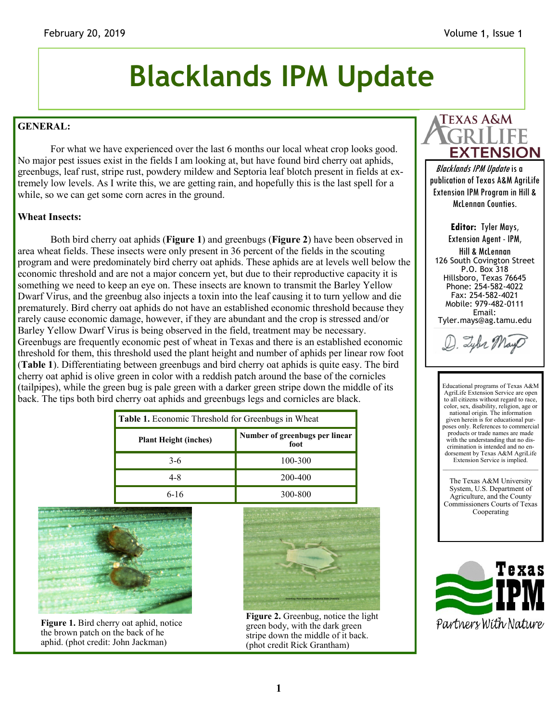# **Blacklands IPM Update**

### **GENERAL:**

For what we have experienced over the last 6 months our local wheat crop looks good. No major pest issues exist in the fields I am looking at, but have found bird cherry oat aphids, greenbugs, leaf rust, stripe rust, powdery mildew and Septoria leaf blotch present in fields at extremely low levels. As I write this, we are getting rain, and hopefully this is the last spell for a while, so we can get some corn acres in the ground.

#### **Wheat Insects:**

Both bird cherry oat aphids (**Figure 1**) and greenbugs (**Figure 2**) have been observed in area wheat fields. These insects were only present in 36 percent of the fields in the scouting program and were predominately bird cherry oat aphids. These aphids are at levels well below the economic threshold and are not a major concern yet, but due to their reproductive capacity it is something we need to keep an eye on. These insects are known to transmit the Barley Yellow Dwarf Virus, and the greenbug also injects a toxin into the leaf causing it to turn yellow and die prematurely. Bird cherry oat aphids do not have an established economic threshold because they rarely cause economic damage, however, if they are abundant and the crop is stressed and/or Barley Yellow Dwarf Virus is being observed in the field, treatment may be necessary. Greenbugs are frequently economic pest of wheat in Texas and there is an established economic threshold for them, this threshold used the plant height and number of aphids per linear row foot (**Table 1**). Differentiating between greenbugs and bird cherry oat aphids is quite easy. The bird cherry oat aphid is olive green in color with a reddish patch around the base of the cornicles (tailpipes), while the green bug is pale green with a darker green stripe down the middle of its back. The tips both bird cherry oat aphids and greenbugs legs and cornicles are black.

| <b>Table 1.</b> Economic Threshold for Greenbugs in Wheat |                                        |
|-----------------------------------------------------------|----------------------------------------|
| <b>Plant Height (inches)</b>                              | Number of greenbugs per linear<br>foot |
| $3-6$                                                     | 100-300                                |
| 4-8                                                       | 200-400                                |
|                                                           | 300-800                                |



**Figure 1.** Bird cherry oat aphid, notice the brown patch on the back of he aphid. (phot credit: John Jackman)



**Figure 2.** Greenbug, notice the light green body, with the dark green stripe down the middle of it back. (phot credit Rick Grantham)



Blacklands IPM Update is a publication of Texas A&M AgriLife Extension IPM Program in Hill & McLennan Counties.

> **Editor:** Tyler Mays, Extension Agent - IPM, Hill & McLennan

126 South Covington Street P.O. Box 318 Hillsboro, Texas 76645 Phone: 254-582-4022 Fax: 254-582-4021 Mobile: 979-482-0111 Email: Tyler.mays@ag.tamu.edu

D. Lybr Mayo

Educational programs of Texas A&M AgriLife Extension Service are open to all citizens without regard to race. color, sex, disability, religion, age or national origin. The information given herein is for educational purposes only. References to commercial products or trade names are made with the understanding that no discrimination is intended and no endorsement by Texas A&M AgriLife Extension Service is implied. \_\_\_\_\_\_\_\_\_\_\_\_\_\_\_\_\_\_\_\_\_\_\_\_\_\_\_\_\_\_

The Texas A&M University System, U.S. Department of Agriculture, and the County Commissioners Courts of Texas Cooperating

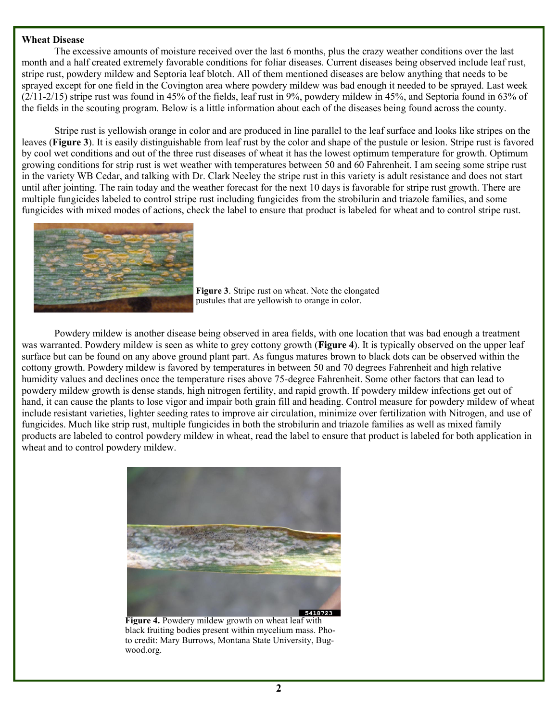#### **Wheat Disease**

The excessive amounts of moisture received over the last 6 months, plus the crazy weather conditions over the last month and a half created extremely favorable conditions for foliar diseases. Current diseases being observed include leaf rust, stripe rust, powdery mildew and Septoria leaf blotch. All of them mentioned diseases are below anything that needs to be sprayed except for one field in the Covington area where powdery mildew was bad enough it needed to be sprayed. Last week  $(2/11-2/15)$  stripe rust was found in 45% of the fields, leaf rust in 9%, powdery mildew in 45%, and Septoria found in 63% of the fields in the scouting program. Below is a little information about each of the diseases being found across the county.

Stripe rust is yellowish orange in color and are produced in line parallel to the leaf surface and looks like stripes on the leaves (**Figure 3**). It is easily distinguishable from leaf rust by the color and shape of the pustule or lesion. Stripe rust is favored by cool wet conditions and out of the three rust diseases of wheat it has the lowest optimum temperature for growth. Optimum growing conditions for strip rust is wet weather with temperatures between 50 and 60 Fahrenheit. I am seeing some stripe rust in the variety WB Cedar, and talking with Dr. Clark Neeley the stripe rust in this variety is adult resistance and does not start until after jointing. The rain today and the weather forecast for the next 10 days is favorable for stripe rust growth. There are multiple fungicides labeled to control stripe rust including fungicides from the strobilurin and triazole families, and some fungicides with mixed modes of actions, check the label to ensure that product is labeled for wheat and to control stripe rust.



**Figure 3**. Stripe rust on wheat. Note the elongated pustules that are yellowish to orange in color.

Powdery mildew is another disease being observed in area fields, with one location that was bad enough a treatment was warranted. Powdery mildew is seen as white to grey cottony growth (**Figure 4**). It is typically observed on the upper leaf surface but can be found on any above ground plant part. As fungus matures brown to black dots can be observed within the cottony growth. Powdery mildew is favored by temperatures in between 50 and 70 degrees Fahrenheit and high relative humidity values and declines once the temperature rises above 75-degree Fahrenheit. Some other factors that can lead to powdery mildew growth is dense stands, high nitrogen fertility, and rapid growth. If powdery mildew infections get out of hand, it can cause the plants to lose vigor and impair both grain fill and heading. Control measure for powdery mildew of wheat include resistant varieties, lighter seeding rates to improve air circulation, minimize over fertilization with Nitrogen, and use of fungicides. Much like strip rust, multiple fungicides in both the strobilurin and triazole families as well as mixed family products are labeled to control powdery mildew in wheat, read the label to ensure that product is labeled for both application in wheat and to control powdery mildew.



**Figure 4.** Powdery mildew growth on wheat leaf with black fruiting bodies present within mycelium mass. Photo credit: Mary Burrows, Montana State University, Bugwood.org.